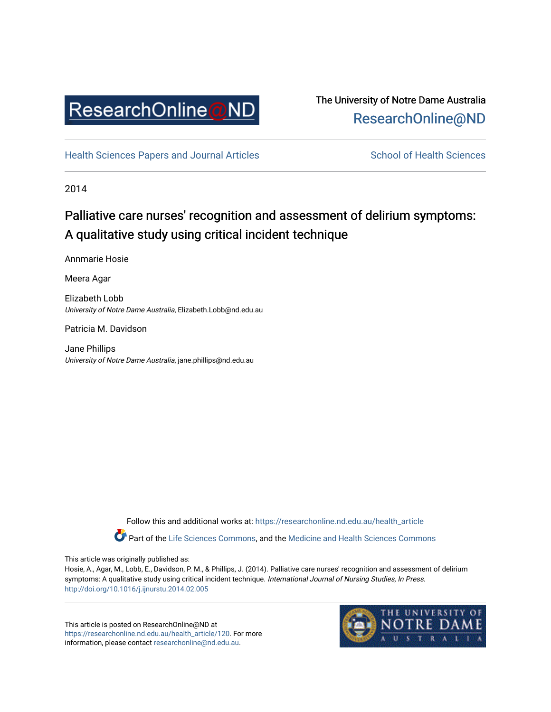

# The University of Notre Dame Australia [ResearchOnline@ND](https://researchonline.nd.edu.au/)

[Health Sciences Papers and Journal Articles](https://researchonline.nd.edu.au/health_article) School of Health Sciences

2014

# Palliative care nurses' recognition and assessment of delirium symptoms: A qualitative study using critical incident technique

Annmarie Hosie

Meera Agar

Elizabeth Lobb University of Notre Dame Australia, Elizabeth.Lobb@nd.edu.au

Patricia M. Davidson

Jane Phillips University of Notre Dame Australia, jane.phillips@nd.edu.au

> Follow this and additional works at: [https://researchonline.nd.edu.au/health\\_article](https://researchonline.nd.edu.au/health_article?utm_source=researchonline.nd.edu.au%2Fhealth_article%2F120&utm_medium=PDF&utm_campaign=PDFCoverPages) Part of the [Life Sciences Commons](http://network.bepress.com/hgg/discipline/1016?utm_source=researchonline.nd.edu.au%2Fhealth_article%2F120&utm_medium=PDF&utm_campaign=PDFCoverPages), and the Medicine and Health Sciences Commons

This article was originally published as:

Hosie, A., Agar, M., Lobb, E., Davidson, P. M., & Phillips, J. (2014). Palliative care nurses' recognition and assessment of delirium symptoms: A qualitative study using critical incident technique. International Journal of Nursing Studies, In Press. <http://doi.org/10.1016/j.ijnurstu.2014.02.005>

This article is posted on ResearchOnline@ND at [https://researchonline.nd.edu.au/health\\_article/120](https://researchonline.nd.edu.au/health_article/120). For more information, please contact [researchonline@nd.edu.au.](mailto:researchonline@nd.edu.au)

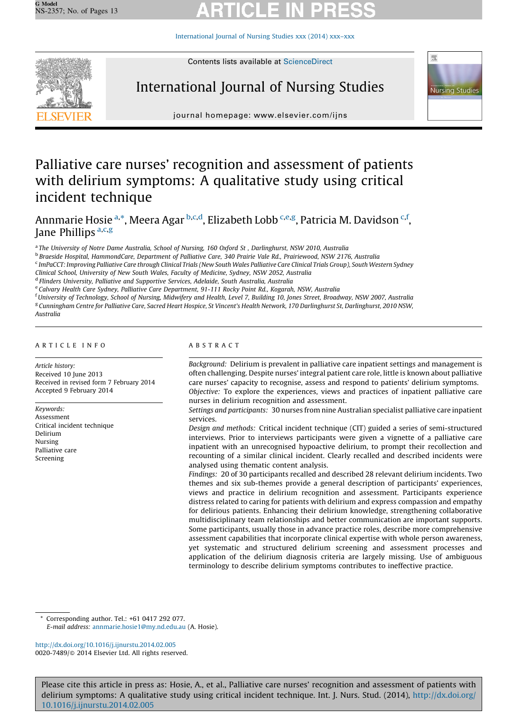[International](http://dx.doi.org/10.1016/j.ijnurstu.2014.02.005) Journal of Nursing Studies xxx (2014) xxx–xxx



Contents lists available at [ScienceDirect](http://www.sciencedirect.com/science/journal/00207489)

# International Journal of Nursing Studies



journal homepage: www.elsevier.com/ijns

# Palliative care nurses' recognition and assessment of patients with delirium symptoms: A qualitative study using critical incident technique

Annmarie Hosie <sup>a,</sup>\*, Meera Agar <sup>b,c,d</sup>, Elizabeth Lobb <sup>c,e,g</sup>, Patricia M. Davidson <sup>c,f</sup>, Jane Phillips a,c,g

a The University of Notre Dame Australia, School of Nursing, 160 Oxford St, Darlinghurst, NSW 2010, Australia

<sup>b</sup> Braeside Hospital, HammondCare, Department of Palliative Care, 340 Prairie Vale Rd., Prairiewood, NSW 2176, Australia

<sup>c</sup> ImPaCCT: Improving Palliative Care through Clinical Trials (New South Wales Palliative Care Clinical Trials Group), South Western Sydney

Clinical School, University of New South Wales, Faculty of Medicine, Sydney, NSW 2052, Australia

<sup>d</sup> Flinders University, Palliative and Supportive Services, Adelaide, South Australia, Australia

e Calvary Health Care Sydney, Palliative Care Department, 91-111 Rocky Point Rd., Kogarah, NSW, Australia

f University of Technology, School of Nursing, Midwifery and Health, Level 7, Building 10, Jones Street, Broadway, NSW 2007, Australia <sup>g</sup> Cunningham Centre for Palliative Care, Sacred Heart Hospice, St Vincent's Health Network, 170 Darlinghurst St, Darlinghurst, 2010 NSW, Australia

#### A R T I C I E I N E O

Article history: Received 10 June 2013 Received in revised form 7 February 2014 Accepted 9 February 2014

Keywords: Assessment Critical incident technique Delirium Nursing Palliative care Screening

#### A B S T R A C T

Background: Delirium is prevalent in palliative care inpatient settings and management is often challenging. Despite nurses' integral patient care role, little is known about palliative care nurses' capacity to recognise, assess and respond to patients' delirium symptoms. Objective: To explore the experiences, views and practices of inpatient palliative care nurses in delirium recognition and assessment.

Settings and participants: 30 nurses from nine Australian specialist palliative care inpatient services.

Design and methods: Critical incident technique (CIT) guided a series of semi-structured interviews. Prior to interviews participants were given a vignette of a palliative care inpatient with an unrecognised hypoactive delirium, to prompt their recollection and recounting of a similar clinical incident. Clearly recalled and described incidents were analysed using thematic content analysis.

Findings: 20 of 30 participants recalled and described 28 relevant delirium incidents. Two themes and six sub-themes provide a general description of participants' experiences, views and practice in delirium recognition and assessment. Participants experience distress related to caring for patients with delirium and express compassion and empathy for delirious patients. Enhancing their delirium knowledge, strengthening collaborative multidisciplinary team relationships and better communication are important supports. Some participants, usually those in advance practice roles, describe more comprehensive assessment capabilities that incorporate clinical expertise with whole person awareness, yet systematic and structured delirium screening and assessment processes and application of the delirium diagnosis criteria are largely missing. Use of ambiguous terminology to describe delirium symptoms contributes to ineffective practice.

\* Corresponding author. Tel.: +61 0417 292 077. E-mail address: [annmarie.hosie1@my.nd.edu.au](mailto:annmarie.hosie1@my.nd.edu.au) (A. Hosie).

<http://dx.doi.org/10.1016/j.ijnurstu.2014.02.005> 0020-7489/© 2014 Elsevier Ltd. All rights reserved.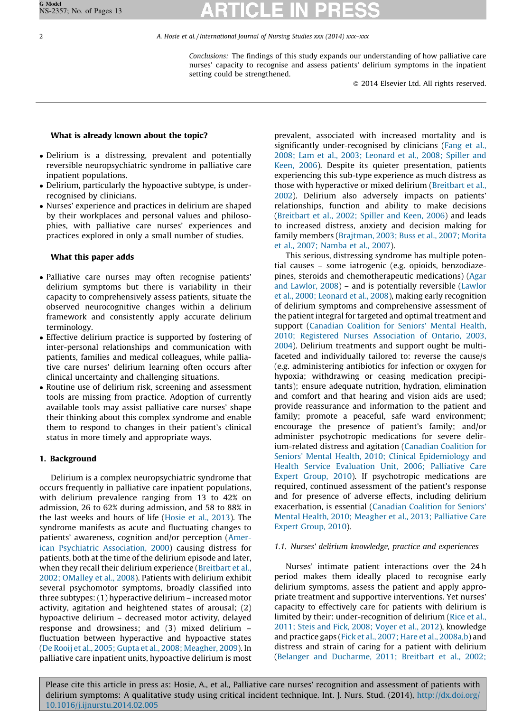Conclusions: The findings of this study expands our understanding of how palliative care nurses' capacity to recognise and assess patients' delirium symptoms in the inpatient setting could be strengthened.

- 2014 Elsevier Ltd. All rights reserved.

# What is already known about the topic?

- Delirium is a distressing, prevalent and potentially reversible neuropsychiatric syndrome in palliative care inpatient populations.
- Delirium, particularly the hypoactive subtype, is underrecognised by clinicians.
- Nurses' experience and practices in delirium are shaped by their workplaces and personal values and philosophies, with palliative care nurses' experiences and practices explored in only a small number of studies.

# What this paper adds

- Palliative care nurses may often recognise patients' delirium symptoms but there is variability in their capacity to comprehensively assess patients, situate the observed neurocognitive changes within a delirium framework and consistently apply accurate delirium terminology.
- Effective delirium practice is supported by fostering of inter-personal relationships and communication with patients, families and medical colleagues, while palliative care nurses' delirium learning often occurs after clinical uncertainty and challenging situations.
- Routine use of delirium risk, screening and assessment tools are missing from practice. Adoption of currently available tools may assist palliative care nurses' shape their thinking about this complex syndrome and enable them to respond to changes in their patient's clinical status in more timely and appropriate ways.

# 1. Background

Delirium is a complex neuropsychiatric syndrome that occurs frequently in palliative care inpatient populations, with delirium prevalence ranging from 13 to 42% on admission, 26 to 62% during admission, and 58 to 88% in the last weeks and hours of life ([Hosie](#page-12-0) et al., 2013). The syndrome manifests as acute and fluctuating changes to patients' awareness, cognition and/or perception [\(Amer](#page-12-0)ican Psychiatric [Association,](#page-12-0) 2000) causing distress for patients, both at the time of the delirium episode and later, when they recall their delirium experience ([Breitbart](#page-12-0) et al., 2002; [OMalley](#page-12-0) et al., 2008). Patients with delirium exhibit several psychomotor symptoms, broadly classified into three subtypes:(1) hyperactive delirium – increased motor activity, agitation and heightened states of arousal; (2) hypoactive delirium – decreased motor activity, delayed response and drowsiness; and (3) mixed delirium – fluctuation between hyperactive and hypoactive states (De Rooij et al., 2005; Gupta et al., 2008; [Meagher,](#page-12-0) 2009). In palliative care inpatient units, hypoactive delirium is most prevalent, associated with increased mortality and is significantly under-recognised by clinicians ([Fang](#page-12-0) et al., 2008; Lam et al., 2003; [Leonard](#page-12-0) et al., 2008; Spiller and [Keen,](#page-12-0) 2006). Despite its quieter presentation, patients experiencing this sub-type experience as much distress as those with hyperactive or mixed delirium ([Breitbart](#page-12-0) et al., [2002](#page-12-0)). Delirium also adversely impacts on patients' relationships, function and ability to make decisions [\(Breitbart](#page-12-0) et al., 2002; Spiller and Keen, 2006) and leads to increased distress, anxiety and decision making for family members [\(Brajtman,](#page-12-0) 2003; Buss et al., 2007; Morita et al., 2007; [Namba](#page-12-0) et al., 2007).

This serious, distressing syndrome has multiple potential causes – some iatrogenic (e.g. opioids, benzodiazepines, steroids and chemotherapeutic medications) ([Agar](#page-12-0) and [Lawlor,](#page-12-0) 2008) – and is potentially reversible [\(Lawlor](#page-12-0) et al., 2000; [Leonard](#page-12-0) et al., 2008), making early recognition of delirium symptoms and comprehensive assessment of the patient integral for targeted and optimal treatment and support ([Canadian](#page-12-0) Coalition for Seniors' Mental Health, 2010; Registered Nurses [Association](#page-12-0) of Ontario, 2003, [2004](#page-12-0)). Delirium treatments and support ought be multifaceted and individually tailored to: reverse the cause/s (e.g. administering antibiotics for infection or oxygen for hypoxia; withdrawing or ceasing medication precipitants); ensure adequate nutrition, hydration, elimination and comfort and that hearing and vision aids are used; provide reassurance and information to the patient and family; promote a peaceful, safe ward environment; encourage the presence of patient's family; and/or administer psychotropic medications for severe delirium-related distress and agitation [\(Canadian](#page-12-0) Coalition for Seniors' Mental Health, 2010; Clinical [Epidemiology](#page-12-0) and Health Service [Evaluation](#page-12-0) Unit, 2006; Palliative Care Expert [Group,](#page-12-0) 2010). If psychotropic medications are required, continued assessment of the patient's response and for presence of adverse effects, including delirium exacerbation, is essential ([Canadian](#page-12-0) Coalition for Seniors' Mental Health, 2010; Meagher et al., 2013; [Palliative](#page-12-0) Care Expert [Group,](#page-12-0) 2010).

#### 1.1. Nurses' delirium knowledge, practice and experiences

Nurses' intimate patient interactions over the 24 h period makes them ideally placed to recognise early delirium symptoms, assess the patient and apply appropriate treatment and supportive interventions. Yet nurses' capacity to effectively care for patients with delirium is limited by their: under-recognition of delirium [\(Rice](#page-13-0) et al., 2011; Steis and Fick, 2008; [Voyer](#page-13-0) et al., 2012), knowledge and practice gaps (Fick et al., 2007; Hare et al., [2008a,b\)](#page-12-0) and distress and strain of caring for a patient with delirium (Belanger and [Ducharme,](#page-12-0) 2011; Breitbart et al., 2002;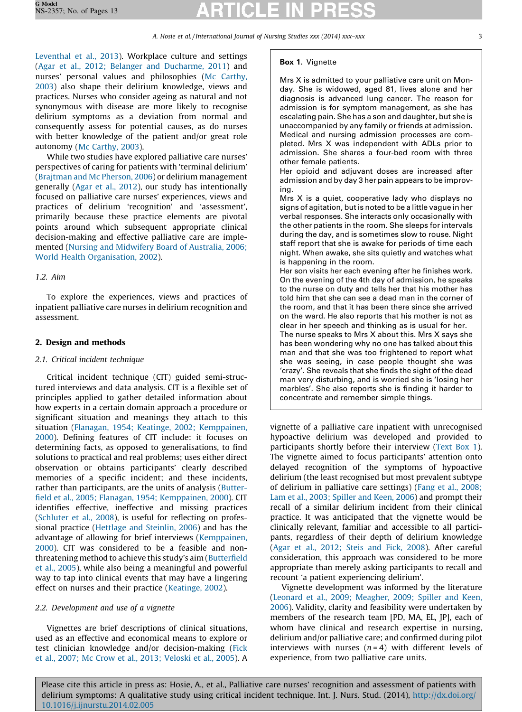[Leventhal](#page-12-0) et al., 2013). Workplace culture and settings (Agar et al., 2012; Belanger and [Ducharme,](#page-11-0) 2011) and nurses' personal values and philosophies (Mc [Carthy,](#page-13-0) [2003](#page-13-0)) also shape their delirium knowledge, views and practices. Nurses who consider ageing as natural and not synonymous with disease are more likely to recognise delirium symptoms as a deviation from normal and consequently assess for potential causes, as do nurses with better knowledge of the patient and/or great role autonomy (Mc [Carthy,](#page-13-0) 2003).

While two studies have explored palliative care nurses' perspectives of caring for patients with 'terminal delirium' ([Brajtman](#page-12-0) and Mc Pherson, 2006) or delirium management generally (Agar et al., [2012](#page-11-0)), our study has intentionally focused on palliative care nurses' experiences, views and practices of delirium 'recognition' and 'assessment', primarily because these practice elements are pivotal points around which subsequent appropriate clinical decision-making and effective palliative care are implemented (Nursing and [Midwifery](#page-13-0) Board of Australia, 2006; World Health [Organisation,](#page-13-0) 2002).

#### 1.2. Aim

To explore the experiences, views and practices of inpatient palliative care nurses in delirium recognition and assessment.

### 2. Design and methods

#### 2.1. Critical incident technique

Critical incident technique (CIT) guided semi-structured interviews and data analysis. CIT is a flexible set of principles applied to gather detailed information about how experts in a certain domain approach a procedure or significant situation and meanings they attach to this situation (Flanagan, 1954; Keatinge, 2002; [Kemppainen,](#page-12-0) [2000\)](#page-12-0). Defining features of CIT include: it focuses on determining facts, as opposed to generalisations, to find solutions to practical and real problems; uses either direct observation or obtains participants' clearly described memories of a specific incident; and these incidents, rather than participants, are the units of analysis ([Butter](#page-12-0)field et al., 2005; Flanagan, 1954; [Kemppainen,](#page-12-0) 2000). CIT identifies effective, ineffective and missing practices ([Schluter](#page-13-0) et al., 2008), is useful for reflecting on professional practice [\(Hettlage](#page-12-0) and Steinlin, 2006) and has the advantage of allowing for brief interviews ([Kemppainen,](#page-12-0) [2000\)](#page-12-0). CIT was considered to be a feasible and nonthreatening method to achieve this study's aim [\(Butterfield](#page-12-0) et al., [2005\)](#page-12-0), while also being a meaningful and powerful way to tap into clinical events that may have a lingering effect on nurses and their practice [\(Keatinge,](#page-12-0) 2002).

### 2.2. Development and use of a vignette

Vignettes are brief descriptions of clinical situations, used as an effective and economical means to explore or test clinician knowledge and/or decision-making ([Fick](#page-12-0) et al., 2007; Mc Crow et al., 2013; [Veloski](#page-12-0) et al., 2005). A

#### Box 1. Vignette

Mrs X is admitted to your palliative care unit on Monday. She is widowed, aged 81, lives alone and her diagnosis is advanced lung cancer. The reason for admission is for symptom management, as she has escalating pain. She has a son and daughter, but she is unaccompanied by any family or friends at admission. Medical and nursing admission processes are completed. Mrs X was independent with ADLs prior to admission. She shares a four-bed room with three other female patients.

Her opioid and adjuvant doses are increased after admission and by day 3 her pain appears to be improving.

Mrs X is a quiet, cooperative lady who displays no signs of agitation, but is noted to be a little vague in her verbal responses. She interacts only occasionally with the other patients in the room. She sleeps for intervals during the day, and is sometimes slow to rouse. Night staff report that she is awake for periods of time each night. When awake, she sits quietly and watches what is happening in the room.

Her son visits her each evening after he finishes work. On the evening of the 4th day of admission, he speaks to the nurse on duty and tells her that his mother has told him that she can see a dead man in the corner of the room, and that it has been there since she arrived on the ward. He also reports that his mother is not as clear in her speech and thinking as is usual for her. The nurse speaks to Mrs X about this. Mrs X says she has been wondering why no one has talked about this man and that she was too frightened to report what she was seeing, in case people thought she was 'crazy'. She reveals that she finds the sight of the dead man very disturbing, and is worried she is 'losing her marbles'. She also reports she is finding it harder to concentrate and remember simple things.

vignette of a palliative care inpatient with unrecognised hypoactive delirium was developed and provided to participants shortly before their interview (Text Box 1). The vignette aimed to focus participants' attention onto delayed recognition of the symptoms of hypoactive delirium (the least recognised but most prevalent subtype of delirium in palliative care settings) (Fang et al., [2008;](#page-12-0) Lam et al., 2003; [Spiller](#page-12-0) and Keen, 2006) and prompt their recall of a similar delirium incident from their clinical practice. It was anticipated that the vignette would be clinically relevant, familiar and accessible to all participants, regardless of their depth of delirium knowledge (Agar et al., [2012;](#page-11-0) Steis and Fick, 2008). After careful consideration, this approach was considered to be more appropriate than merely asking participants to recall and recount 'a patient experiencing delirium'.

Vignette development was informed by the literature (Leonard et al., 2009; [Meagher,](#page-12-0) 2009; Spiller and Keen, [2006](#page-12-0)). Validity, clarity and feasibility were undertaken by members of the research team [PD, MA, EL, JP], each of whom have clinical and research expertise in nursing, delirium and/or palliative care; and confirmed during pilot interviews with nurses  $(n=4)$  with different levels of experience, from two palliative care units.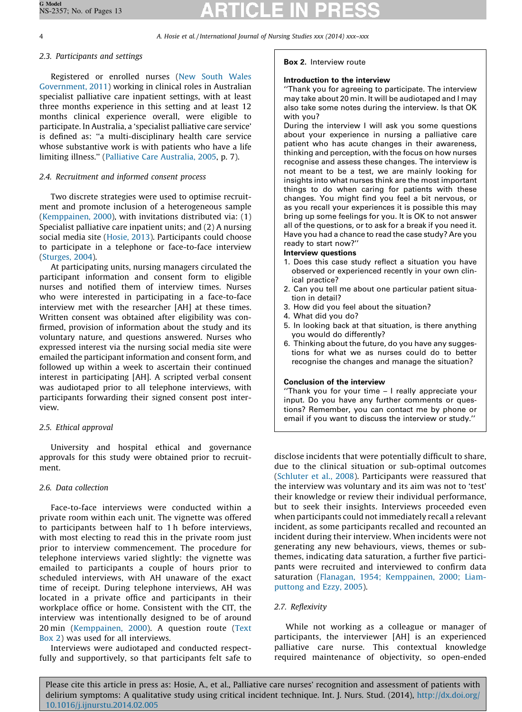# 2.3. Participants and settings

Registered or enrolled nurses (New South [Wales](#page-13-0) [Government,](#page-13-0) 2011) working in clinical roles in Australian specialist palliative care inpatient settings, with at least three months experience in this setting and at least 12 months clinical experience overall, were eligible to participate. In Australia, a 'specialist palliative care service' is defined as: ''a multi-disciplinary health care service whose substantive work is with patients who have a life limiting illness.'' (Palliative Care [Australia,](#page-13-0) 2005, p. 7).

# 2.4. Recruitment and informed consent process

Two discrete strategies were used to optimise recruitment and promote inclusion of a heterogeneous sample [\(Kemppainen,](#page-12-0) 2000), with invitations distributed via: (1) Specialist palliative care inpatient units; and (2) A nursing social media site [\(Hosie,](#page-12-0) 2013). Participants could choose to participate in a telephone or face-to-face interview [\(Sturges,](#page-13-0) 2004).

At participating units, nursing managers circulated the participant information and consent form to eligible nurses and notified them of interview times. Nurses who were interested in participating in a face-to-face interview met with the researcher [AH] at these times. Written consent was obtained after eligibility was confirmed, provision of information about the study and its voluntary nature, and questions answered. Nurses who expressed interest via the nursing social media site were emailed the participant information and consent form, and followed up within a week to ascertain their continued interest in participating [AH]. A scripted verbal consent was audiotaped prior to all telephone interviews, with participants forwarding their signed consent post interview.

# 2.5. Ethical approval

University and hospital ethical and governance approvals for this study were obtained prior to recruitment.

# 2.6. Data collection

Face-to-face interviews were conducted within a private room within each unit. The vignette was offered to participants between half to 1 h before interviews, with most electing to read this in the private room just prior to interview commencement. The procedure for telephone interviews varied slightly: the vignette was emailed to participants a couple of hours prior to scheduled interviews, with AH unaware of the exact time of receipt. During telephone interviews, AH was located in a private office and participants in their workplace office or home. Consistent with the CIT, the interview was intentionally designed to be of around 20 min ([Kemppainen,](#page-12-0) 2000). A question route (Text Box 2) was used for all interviews.

Interviews were audiotaped and conducted respectfully and supportively, so that participants felt safe to

# Box 2. Interview route

# Introduction to the interview

''Thank you for agreeing to participate. The interview may take about 20 min. It will be audiotaped and I may also take some notes during the interview. Is that OK with you?

During the interview I will ask you some questions about your experience in nursing a palliative care patient who has acute changes in their awareness, thinking and perception, with the focus on how nurses recognise and assess these changes. The interview is not meant to be a test, we are mainly looking for insights into what nurses think are the most important things to do when caring for patients with these changes. You might find you feel a bit nervous, or as you recall your experiences it is possible this may bring up some feelings for you. It is OK to not answer all of the questions, or to ask for a break if you need it. Have you had a chance to read the case study? Are you ready to start now?''

# Interview questions

- 1. Does this case study reflect a situation you have observed or experienced recently in your own clinical practice?
- 2. Can you tell me about one particular patient situation in detail?
- 3. How did you feel about the situation?
- 4. What did you do?
- 5. In looking back at that situation, is there anything you would do differently?
- 6. Thinking about the future, do you have any suggestions for what we as nurses could do to better recognise the changes and manage the situation?

# Conclusion of the interview

''Thank you for your time – I really appreciate your input. Do you have any further comments or questions? Remember, you can contact me by phone or email if you want to discuss the interview or study.''

disclose incidents that were potentially difficult to share, due to the clinical situation or sub-optimal outcomes [\(Schluter](#page-13-0) et al., 2008). Participants were reassured that the interview was voluntary and its aim was not to 'test' their knowledge or review their individual performance, but to seek their insights. Interviews proceeded even when participants could not immediately recall a relevant incident, as some participants recalled and recounted an incident during their interview. When incidents were not generating any new behaviours, views, themes or subthemes, indicating data saturation, a further five participants were recruited and interviewed to confirm data saturation (Flanagan, 1954; [Kemppainen,](#page-12-0) 2000; Liam[puttong](#page-12-0) and Ezzy, 2005).

# 2.7. Reflexivity

While not working as a colleague or manager of participants, the interviewer [AH] is an experienced palliative care nurse. This contextual knowledge required maintenance of objectivity, so open-ended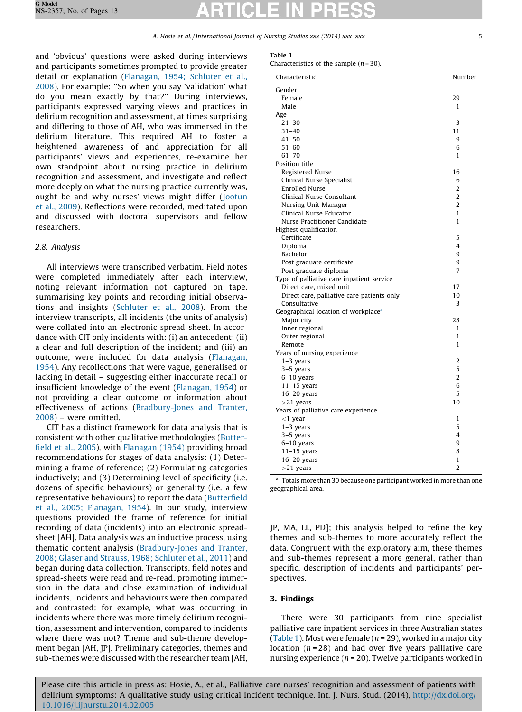and 'obvious' questions were asked during interviews and participants sometimes prompted to provide greater detail or explanation ([Flanagan,](#page-12-0) 1954; Schluter et al., [2008](#page-12-0)). For example: ''So when you say 'validation' what do you mean exactly by that?'' During interviews, participants expressed varying views and practices in delirium recognition and assessment, at times surprising and differing to those of AH, who was immersed in the delirium literature. This required AH to foster a heightened awareness of and appreciation for all participants' views and experiences, re-examine her own standpoint about nursing practice in delirium recognition and assessment, and investigate and reflect more deeply on what the nursing practice currently was, ought be and why nurses' views might differ [\(Jootun](#page-12-0) et al., [2009\)](#page-12-0). Reflections were recorded, meditated upon and discussed with doctoral supervisors and fellow researchers.

# 2.8. Analysis

All interviews were transcribed verbatim. Field notes were completed immediately after each interview, noting relevant information not captured on tape, summarising key points and recording initial observations and insights [\(Schluter](#page-13-0) et al., 2008). From the interview transcripts, all incidents (the units of analysis) were collated into an electronic spread-sheet. In accordance with CIT only incidents with: (i) an antecedent; (ii) a clear and full description of the incident; and (iii) an outcome, were included for data analysis [\(Flanagan,](#page-12-0) [1954\)](#page-12-0). Any recollections that were vague, generalised or lacking in detail – suggesting either inaccurate recall or insufficient knowledge of the event ([Flanagan,](#page-12-0) 1954) or not providing a clear outcome or information about effectiveness of actions ([Bradbury-Jones](#page-12-0) and Tranter, [2008](#page-12-0)) – were omitted.

CIT has a distinct framework for data analysis that is consistent with other qualitative methodologies [\(Butter](#page-12-0)field et al., [2005](#page-12-0)), with [Flanagan](#page-12-0) (1954) providing broad recommendations for stages of data analysis: (1) Determining a frame of reference; (2) Formulating categories inductively; and (3) Determining level of specificity (i.e. dozens of specific behaviours) or generality (i.e. a few representative behaviours) to report the data [\(Butterfield](#page-12-0) et al., 2005; [Flanagan,](#page-12-0) 1954). In our study, interview questions provided the frame of reference for initial recording of data (incidents) into an electronic spreadsheet [AH]. Data analysis was an inductive process, using thematic content analysis ([Bradbury-Jones](#page-12-0) and Tranter, 2008; Glaser and Strauss, 1968; [Schluter](#page-12-0) et al., 2011) and began during data collection. Transcripts, field notes and spread-sheets were read and re-read, promoting immersion in the data and close examination of individual incidents. Incidents and behaviours were then compared and contrasted: for example, what was occurring in incidents where there was more timely delirium recognition, assessment and intervention, compared to incidents where there was not? Theme and sub-theme development began [AH, JP]. Preliminary categories, themes and sub-themes were discussed with the researcher team [AH,

| Table |  |
|-------|--|
|-------|--|

Characteristics of the sample  $(n = 30)$ .

| Characteristic                                     | Number         |
|----------------------------------------------------|----------------|
| Gender                                             |                |
| Female                                             | 29             |
| Male                                               | 1              |
| Age                                                |                |
| $21 - 30$                                          | 3              |
| $31 - 40$                                          | 11             |
| $41 - 50$                                          | 9              |
| $51 - 60$                                          | 6              |
| $61 - 70$                                          | 1              |
| Position title                                     |                |
| Registered Nurse                                   | 16             |
| Clinical Nurse Specialist                          | 6              |
| <b>Enrolled Nurse</b>                              | 2              |
| Clinical Nurse Consultant                          | $\overline{2}$ |
| Nursing Unit Manager                               | $\overline{2}$ |
| Clinical Nurse Educator                            | 1              |
| Nurse Practitioner Candidate                       | 1              |
| Highest qualification                              |                |
| Certificate                                        | 5              |
| Diploma                                            | $\overline{4}$ |
| Bachelor                                           | 9              |
| Post graduate certificate                          | 9              |
| Post graduate diploma                              | 7              |
| Type of palliative care inpatient service          |                |
| Direct care, mixed unit                            | 17             |
| Direct care, palliative care patients only         | 10             |
| Consultative                                       | 3              |
| Geographical location of workplace <sup>a</sup>    |                |
| Major city                                         | 28             |
| Inner regional                                     | 1              |
| Outer regional                                     | 1              |
| Remote                                             | 1              |
| Years of nursing experience                        | $\overline{2}$ |
| $1-3$ years                                        | 5              |
| 3-5 years                                          | 2              |
| $6-10$ years                                       | 6              |
| $11-15$ years                                      | 5              |
| $16-20$ years                                      | 10             |
| $>21$ years<br>Years of palliative care experience |                |
| $<$ 1 year                                         | $\mathbf{1}$   |
| $1-3$ years                                        | 5              |
| 3-5 years                                          | 4              |
| $6-10$ years                                       | 9              |
| $11-15$ years                                      | 8              |
| $16-20$ years                                      | 1              |
| $>21$ years                                        | $\overline{2}$ |
|                                                    |                |

<sup>a</sup> Totals more than 30 because one participant worked in more than one geographical area.

JP, MA, LL, PD]; this analysis helped to refine the key themes and sub-themes to more accurately reflect the data. Congruent with the exploratory aim, these themes and sub-themes represent a more general, rather than specific, description of incidents and participants' perspectives.

### 3. Findings

There were 30 participants from nine specialist palliative care inpatient services in three Australian states (Table 1). Most were female ( $n = 29$ ), worked in a major city location ( $n = 28$ ) and had over five years palliative care nursing experience ( $n = 20$ ). Twelve participants worked in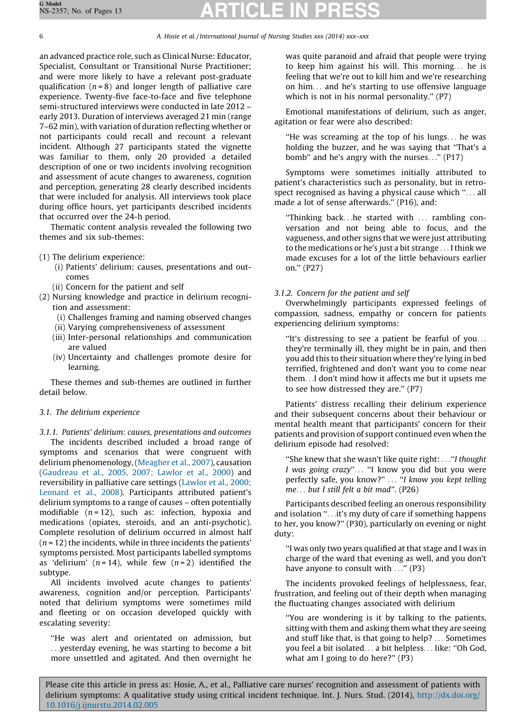an advanced practice role, such as Clinical Nurse: Educator, Specialist, Consultant or Transitional Nurse Practitioner; and were more likely to have a relevant post-graduate qualification ( $n = 8$ ) and longer length of palliative care experience. Twenty-five face-to-face and five telephone semi-structured interviews were conducted in late 2012 – early 2013. Duration of interviews averaged 21 min (range 7–62 min), with variation of duration reflecting whether or not participants could recall and recount a relevant incident. Although 27 participants stated the vignette was familiar to them, only 20 provided a detailed description of one or two incidents involving recognition and assessment of acute changes to awareness, cognition and perception, generating 28 clearly described incidents that were included for analysis. All interviews took place during office hours, yet participants described incidents that occurred over the 24-h period.

Thematic content analysis revealed the following two themes and six sub-themes:

- (1) The delirium experience:
	- (i) Patients' delirium: causes, presentations and outcomes
	- (ii) Concern for the patient and self
- (2) Nursing knowledge and practice in delirium recognition and assessment:
	- (i) Challenges framing and naming observed changes
	- (ii) Varying comprehensiveness of assessment
	- (iii) Inter-personal relationships and communication are valued
	- (iv) Uncertainty and challenges promote desire for learning.

These themes and sub-themes are outlined in further detail below.

## 3.1. The delirium experience

3.1.1. Patients' delirium: causes, presentations and outcomes The incidents described included a broad range of symptoms and scenarios that were congruent with delirium phenomenology,([Meagher](#page-13-0) et al., 2007), causation [\(Gaudreau](#page-12-0) et al., 2005, 2007; Lawlor et al., 2000) and reversibility in palliative care settings ([Lawlor](#page-12-0) et al., 2000; [Leonard](#page-12-0) et al., 2008). Participants attributed patient's delirium symptoms to a range of causes – often potentially modifiable  $(n = 12)$ , such as: infection, hypoxia and medications (opiates, steroids, and an anti-psychotic). Complete resolution of delirium occurred in almost half  $(n = 12)$  the incidents, while in three incidents the patients' symptoms persisted. Most participants labelled symptoms as 'delirium' ( $n = 14$ ), while few ( $n = 2$ ) identified the subtype.

All incidents involved acute changes to patients' awareness, cognition and/or perception. Participants' noted that delirium symptoms were sometimes mild and fleeting or on occasion developed quickly with escalating severity:

''He was alert and orientated on admission, but . . .yesterday evening, he was starting to become a bit more unsettled and agitated. And then overnight he was quite paranoid and afraid that people were trying to keep him against his will. This morning. . . he is feeling that we're out to kill him and we're researching on him. . . and he's starting to use offensive language which is not in his normal personality." (P7)

Emotional manifestations of delirium, such as anger, agitation or fear were also described:

''He was screaming at the top of his lungs. . . he was holding the buzzer, and he was saying that "That's a bomb" and he's angry with the nurses..." (P17)

Symptoms were sometimes initially attributed to patient's characteristics such as personality, but in retrospect recognised as having a physical cause which "... all made a lot of sense afterwards.'' (P16), and:

''Thinking back. . .he started with . . . rambling conversation and not being able to focus, and the vagueness, and other signs that we were just attributing to the medications or he's just a bit strange . . . Ithink we made excuses for a lot of the little behaviours earlier on.'' (P27)

## 3.1.2. Concern for the patient and self

Overwhelmingly participants expressed feelings of compassion, sadness, empathy or concern for patients experiencing delirium symptoms:

''It's distressing to see a patient be fearful of you. . . they're terminally ill, they might be in pain, and then you add this to their situation where they're lying in bed terrified, frightened and don't want you to come near them. . .I don't mind how it affects me but it upsets me to see how distressed they are.'' (P7)

Patients' distress recalling their delirium experience and their subsequent concerns about their behaviour or mental health meant that participants' concern for their patients and provision of support continued even when the delirium episode had resolved:

''She knew that she wasn't like quite right: . . .''I thought I was going crazy"... "I know you did but you were perfectly safe, you know?" . . "I know you kept telling me. . . but I still felt a bit mad''. (P26)

Participants described feeling an onerous responsibility and isolation ''. . .it's my duty of care if something happens to her, you know?'' (P30), particularly on evening or night duty:

''I was only two years qualified at that stage and I was in charge of the ward that evening as well, and you don't have anyone to consult with  $\ldots$ " (P3)

The incidents provoked feelings of helplessness, fear, frustration, and feeling out of their depth when managing the fluctuating changes associated with delirium

''You are wondering is it by talking to the patients, sitting with them and asking them what they are seeing and stuff like that, is that going to help? . . . Sometimes you feel a bit isolated. . . a bit helpless. . . like: ''Oh God, what am I going to do here?" (P3)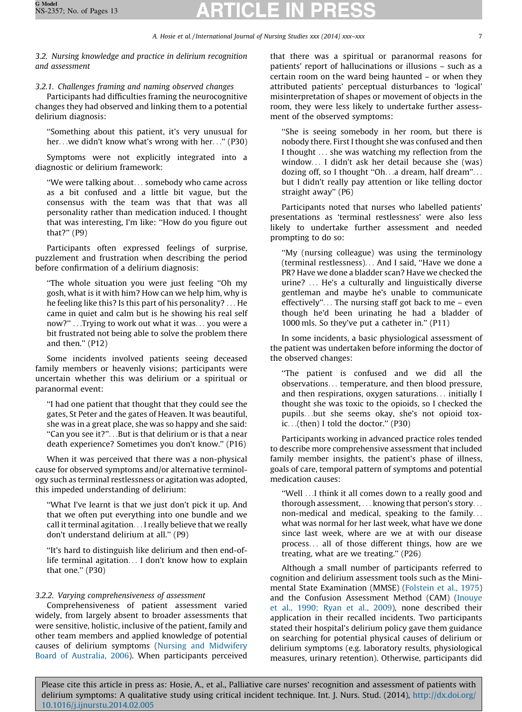3.2. Nursing knowledge and practice in delirium recognition and assessment

3.2.1. Challenges framing and naming observed changes

Participants had difficulties framing the neurocognitive changes they had observed and linking them to a potential delirium diagnosis:

''Something about this patient, it's very unusual for her...we didn't know what's wrong with her..." (P30)

Symptoms were not explicitly integrated into a diagnostic or delirium framework:

''We were talking about. . . somebody who came across as a bit confused and a little bit vague, but the consensus with the team was that that was all personality rather than medication induced. I thought that was interesting, I'm like: ''How do you figure out that?'' (P9)

Participants often expressed feelings of surprise, puzzlement and frustration when describing the period before confirmation of a delirium diagnosis:

''The whole situation you were just feeling ''Oh my gosh, what is it with him? How can we help him, why is he feeling like this? Is this part of his personality? . . . He came in quiet and calm but is he showing his real self now?'' . . .Trying to work out what it was. . . you were a bit frustrated not being able to solve the problem there and then.'' (P12)

Some incidents involved patients seeing deceased family members or heavenly visions; participants were uncertain whether this was delirium or a spiritual or paranormal event:

''I had one patient that thought that they could see the gates, St Peter and the gates of Heaven. It was beautiful, she was in a great place, she was so happy and she said: ''Can you see it?''. . .But is that delirium or is that a near death experience? Sometimes you don't know.'' (P16)

When it was perceived that there was a non-physical cause for observed symptoms and/or alternative terminology such as terminal restlessness or agitation was adopted, this impeded understanding of delirium:

''What I've learnt is that we just don't pick it up. And that we often put everything into one bundle and we call it terminal agitation. . . I really believe that we really don't understand delirium at all.'' (P9)

''It's hard to distinguish like delirium and then end-oflife terminal agitation... I don't know how to explain that one.'' (P30)

# 3.2.2. Varying comprehensiveness of assessment

Comprehensiveness of patient assessment varied widely, from largely absent to broader assessments that were sensitive, holistic, inclusive of the patient, family and other team members and applied knowledge of potential causes of delirium symptoms (Nursing and [Midwifery](#page-13-0) Board of [Australia,](#page-13-0) 2006). When participants perceived

that there was a spiritual or paranormal reasons for patients' report of hallucinations or illusions – such as a certain room on the ward being haunted – or when they attributed patients' perceptual disturbances to 'logical' misinterpretation of shapes or movement of objects in the room, they were less likely to undertake further assessment of the observed symptoms:

''She is seeing somebody in her room, but there is nobody there. First I thought she was confused and then I thought . . . she was watching my reflection from the window... I didn't ask her detail because she (was) dozing off, so I thought "Oh...a dream, half dream"... but I didn't really pay attention or like telling doctor straight away'' (P6)

Participants noted that nurses who labelled patients' presentations as 'terminal restlessness' were also less likely to undertake further assessment and needed prompting to do so:

''My (nursing colleague) was using the terminology (terminal restlessness). . . And I said, ''Have we done a PR? Have we done a bladder scan? Have we checked the urine? ... He's a culturally and linguistically diverse gentleman and maybe he's unable to communicate effectively''. . . The nursing staff got back to me – even though he'd been urinating he had a bladder of 1000 mls. So they've put a catheter in." (P11)

In some incidents, a basic physiological assessment of the patient was undertaken before informing the doctor of the observed changes:

''The patient is confused and we did all the observations. . . temperature, and then blood pressure, and then respirations, oxygen saturations. . . initially I thought she was toxic to the opioids, so I checked the pupils...but she seems okay, she's not opioid toxic. . .(then) I told the doctor.'' (P30)

Participants working in advanced practice roles tended to describe more comprehensive assessment that included family member insights, the patient's phase of illness, goals of care, temporal pattern of symptoms and potential medication causes:

''Well . . .I think it all comes down to a really good and thorough assessment, . . . knowing that person's story. . . non-medical and medical, speaking to the family. . . what was normal for her last week, what have we done since last week, where are we at with our disease process... all of those different things, how are we treating, what are we treating.'' (P26)

Although a small number of participants referred to cognition and delirium assessment tools such as the Minimental State Examination (MMSE) ([Folstein](#page-12-0) et al., 1975) and the Confusion Assessment Method (CAM) [\(Inouye](#page-12-0) et al., [1990;](#page-12-0) Ryan et al., 2009), none described their application in their recalled incidents. Two participants stated their hospital's delirium policy gave them guidance on searching for potential physical causes of delirium or delirium symptoms (e.g. laboratory results, physiological measures, urinary retention). Otherwise, participants did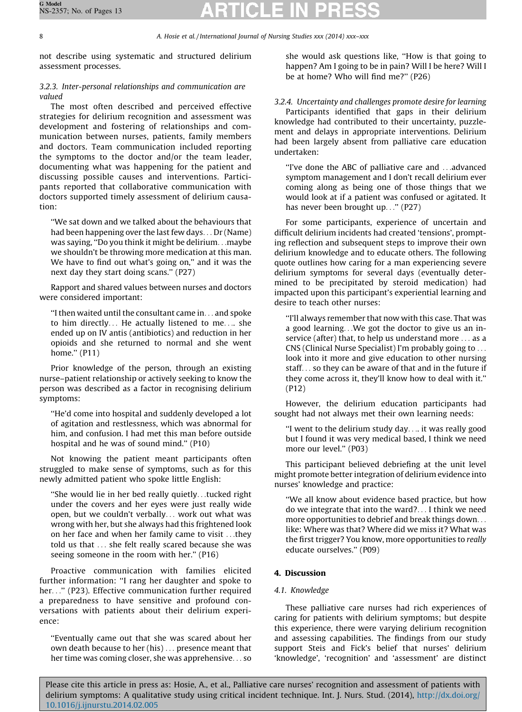not describe using systematic and structured delirium assessment processes.

## 3.2.3. Inter-personal relationships and communication are valued

The most often described and perceived effective strategies for delirium recognition and assessment was development and fostering of relationships and communication between nurses, patients, family members and doctors. Team communication included reporting the symptoms to the doctor and/or the team leader, documenting what was happening for the patient and discussing possible causes and interventions. Participants reported that collaborative communication with doctors supported timely assessment of delirium causation:

''We sat down and we talked about the behaviours that had been happening over the last few days. . . Dr (Name) was saying, ''Do you think it might be delirium. . .maybe we shouldn't be throwing more medication at this man. We have to find out what's going on," and it was the next day they start doing scans.'' (P27)

Rapport and shared values between nurses and doctors were considered important:

''I then waited until the consultant came in. . . and spoke to him directly... He actually listened to me.... she ended up on IV antis (antibiotics) and reduction in her opioids and she returned to normal and she went home.'' (P11)

Prior knowledge of the person, through an existing nurse–patient relationship or actively seeking to know the person was described as a factor in recognising delirium symptoms:

''He'd come into hospital and suddenly developed a lot of agitation and restlessness, which was abnormal for him, and confusion. I had met this man before outside hospital and he was of sound mind.'' (P10)

Not knowing the patient meant participants often struggled to make sense of symptoms, such as for this newly admitted patient who spoke little English:

''She would lie in her bed really quietly. . .tucked right under the covers and her eyes were just really wide open, but we couldn't verbally. . . work out what was wrong with her, but she always had this frightened look on her face and when her family came to visit . . .they told us that . . . she felt really scared because she was seeing someone in the room with her.'' (P16)

Proactive communication with families elicited further information: ''I rang her daughter and spoke to her..." (P23). Effective communication further required a preparedness to have sensitive and profound conversations with patients about their delirium experience:

''Eventually came out that she was scared about her own death because to her (his) . . . presence meant that her time was coming closer, she was apprehensive. . . so she would ask questions like, ''How is that going to happen? Am I going to be in pain? Will I be here? Will I be at home? Who will find me?'' (P26)

3.2.4. Uncertainty and challenges promote desire for learning

Participants identified that gaps in their delirium knowledge had contributed to their uncertainty, puzzlement and delays in appropriate interventions. Delirium had been largely absent from palliative care education undertaken:

''I've done the ABC of palliative care and . . .advanced symptom management and I don't recall delirium ever coming along as being one of those things that we would look at if a patient was confused or agitated. It has never been brought up..." (P27)

For some participants, experience of uncertain and difficult delirium incidents had created 'tensions', prompting reflection and subsequent steps to improve their own delirium knowledge and to educate others. The following quote outlines how caring for a man experiencing severe delirium symptoms for several days (eventually determined to be precipitated by steroid medication) had impacted upon this participant's experiential learning and desire to teach other nurses:

''I'll always remember that now with this case. That was a good learning. . .We got the doctor to give us an inservice (after) that, to help us understand more . . . as a CNS (Clinical Nurse Specialist) I'm probably going to . . . look into it more and give education to other nursing staff. . . so they can be aware of that and in the future if they come across it, they'll know how to deal with it.'' (P12)

However, the delirium education participants had sought had not always met their own learning needs:

''I went to the delirium study day. . .. it was really good but I found it was very medical based, I think we need more our level.'' (P03)

This participant believed debriefing at the unit level might promote better integration of delirium evidence into nurses' knowledge and practice:

''We all know about evidence based practice, but how do we integrate that into the ward?. . . I think we need more opportunities to debrief and break things down. . . like: Where was that? Where did we miss it? What was the first trigger? You know, more opportunities to really educate ourselves.'' (P09)

# 4. Discussion

# 4.1. Knowledge

These palliative care nurses had rich experiences of caring for patients with delirium symptoms; but despite this experience, there were varying delirium recognition and assessing capabilities. The findings from our study support Steis and Fick's belief that nurses' delirium 'knowledge', 'recognition' and 'assessment' are distinct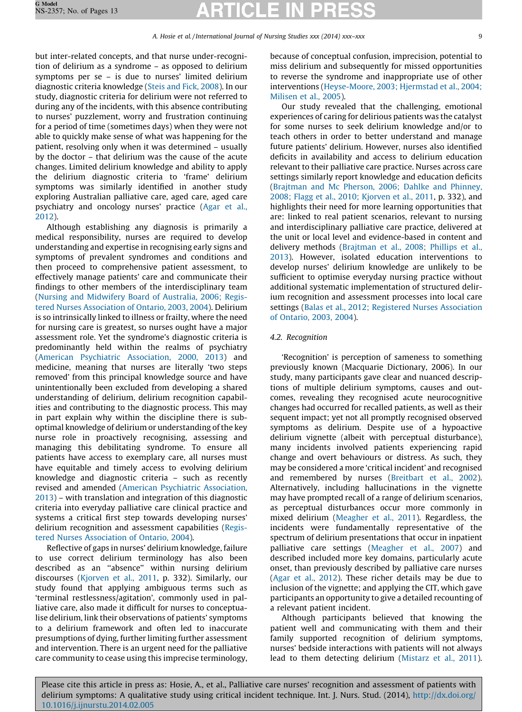but inter-related concepts, and that nurse under-recognition of delirium as a syndrome – as opposed to delirium symptoms per se – is due to nurses' limited delirium diagnostic criteria knowledge (Steis and Fick, [2008\)](#page-13-0). In our study, diagnostic criteria for delirium were not referred to during any of the incidents, with this absence contributing to nurses' puzzlement, worry and frustration continuing for a period of time (sometimes days) when they were not able to quickly make sense of what was happening for the patient, resolving only when it was determined – usually by the doctor – that delirium was the cause of the acute changes. Limited delirium knowledge and ability to apply the delirium diagnostic criteria to 'frame' delirium symptoms was similarly identified in another study exploring Australian palliative care, aged care, aged care psychiatry and oncology nurses' practice ([Agar](#page-11-0) et al., [2012](#page-11-0)).

Although establishing any diagnosis is primarily a medical responsibility, nurses are required to develop understanding and expertise in recognising early signs and symptoms of prevalent syndromes and conditions and then proceed to comprehensive patient assessment, to effectively manage patients' care and communicate their findings to other members of the interdisciplinary team (Nursing and [Midwifery](#page-13-0) Board of Australia, 2006; Registered Nurses [Association](#page-13-0) of Ontario, 2003, 2004). Delirium is so intrinsically linked to illness or frailty, where the need for nursing care is greatest, so nurses ought have a major assessment role. Yet the syndrome's diagnostic criteria is predominantly held within the realms of psychiatry (American Psychiatric [Association,](#page-12-0) 2000, 2013) and medicine, meaning that nurses are literally 'two steps removed' from this principal knowledge source and have unintentionally been excluded from developing a shared understanding of delirium, delirium recognition capabilities and contributing to the diagnostic process. This may in part explain why within the discipline there is suboptimal knowledge of delirium or understanding of the key nurse role in proactively recognising, assessing and managing this debilitating syndrome. To ensure all patients have access to exemplary care, all nurses must have equitable and timely access to evolving delirium knowledge and diagnostic criteria – such as recently revised and amended (American Psychiatric [Association,](#page-12-0) [2013](#page-12-0)) – with translation and integration of this diagnostic criteria into everyday palliative care clinical practice and systems a critical first step towards developing nurses' delirium recognition and assessment capabilities ([Regis](#page-13-0)tered Nurses [Association](#page-13-0) of Ontario, 2004).

Reflective of gaps in nurses' delirium knowledge, failure to use correct delirium terminology has also been described as an ''absence'' within nursing delirium discourses [\(Kjorven](#page-12-0) et al., 2011, p. 332). Similarly, our study found that applying ambiguous terms such as 'terminal restlessness/agitation', commonly used in palliative care, also made it difficult for nurses to conceptualise delirium, link their observations of patients' symptoms to a delirium framework and often led to inaccurate presumptions of dying, further limiting further assessment and intervention. There is an urgent need for the palliative care community to cease using this imprecise terminology, because of conceptual confusion, imprecision, potential to miss delirium and subsequently for missed opportunities to reverse the syndrome and inappropriate use of other interventions ([Heyse-Moore,](#page-12-0) 2003; Hjermstad et al., 2004; [Milisen](#page-12-0) et al., 2005).

Our study revealed that the challenging, emotional experiences of caring for delirious patients was the catalyst for some nurses to seek delirium knowledge and/or to teach others in order to better understand and manage future patients' delirium. However, nurses also identified deficits in availability and access to delirium education relevant to their palliative care practice. Nurses across care settings similarly report knowledge and education deficits [\(Brajtman](#page-12-0) and Mc Pherson, 2006; Dahlke and Phinney, 2008; Flagg et al., 2010; [Kjorven](#page-12-0) et al., 2011, p. 332), and highlights their need for more learning opportunities that are: linked to real patient scenarios, relevant to nursing and interdisciplinary palliative care practice, delivered at the unit or local level and evidence-based in content and delivery methods [\(Brajtman](#page-12-0) et al., 2008; Phillips et al., [2013](#page-12-0)). However, isolated education interventions to develop nurses' delirium knowledge are unlikely to be sufficient to optimise everyday nursing practice without additional systematic implementation of structured delirium recognition and assessment processes into local care settings (Balas et al., 2012; Registered Nurses [Association](#page-12-0) of [Ontario,](#page-12-0) 2003, 2004).

### 4.2. Recognition

'Recognition' is perception of sameness to something previously known (Macquarie Dictionary, 2006). In our study, many participants gave clear and nuanced descriptions of multiple delirium symptoms, causes and outcomes, revealing they recognised acute neurocognitive changes had occurred for recalled patients, as well as their sequent impact; yet not all promptly recognised observed symptoms as delirium. Despite use of a hypoactive delirium vignette (albeit with perceptual disturbance), many incidents involved patients experiencing rapid change and overt behaviours or distress. As such, they may be considered a more 'critical incident' and recognised and remembered by nurses [\(Breitbart](#page-12-0) et al., 2002). Alternatively, including hallucinations in the vignette may have prompted recall of a range of delirium scenarios, as perceptual disturbances occur more commonly in mixed delirium [\(Meagher](#page-13-0) et al., 2011). Regardless, the incidents were fundamentally representative of the spectrum of delirium presentations that occur in inpatient palliative care settings [\(Meagher](#page-13-0) et al., 2007) and described included more key domains, particularly acute onset, than previously described by palliative care nurses (Agar et al., [2012](#page-11-0)). These richer details may be due to inclusion of the vignette; and applying the CIT, which gave participants an opportunity to give a detailed recounting of a relevant patient incident.

Although participants believed that knowing the patient well and communicating with them and their family supported recognition of delirium symptoms, nurses' bedside interactions with patients will not always lead to them detecting delirium ([Mistarz](#page-13-0) et al., 2011).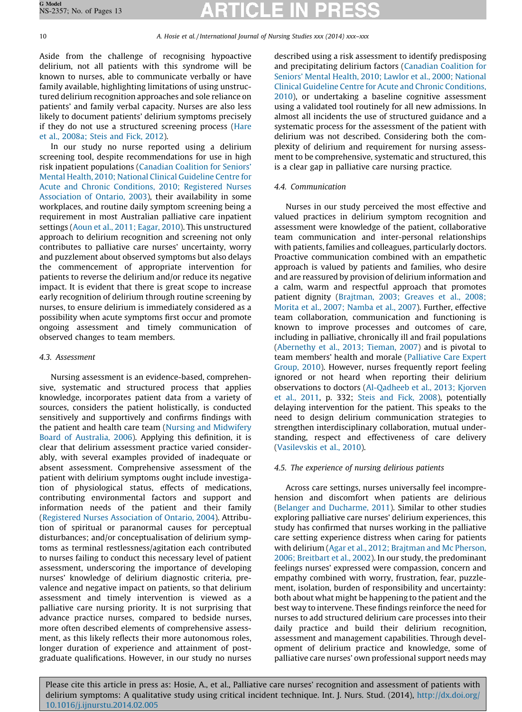Aside from the challenge of recognising hypoactive delirium, not all patients with this syndrome will be known to nurses, able to communicate verbally or have family available, highlighting limitations of using unstructured delirium recognition approaches and sole reliance on patients' and family verbal capacity. Nurses are also less likely to document patients' delirium symptoms precisely if they do not use a structured screening process [\(Hare](#page-12-0) et al., [2008a;](#page-12-0) Steis and Fick, 2012).

In our study no nurse reported using a delirium screening tool, despite recommendations for use in high risk inpatient populations [\(Canadian](#page-12-0) Coalition for Seniors' Mental Health, 2010; National Clinical [Guideline](#page-12-0) Centre for Acute and Chronic [Conditions,](#page-12-0) 2010; Registered Nurses [Association](#page-12-0) of Ontario, 2003), their availability in some workplaces, and routine daily symptom screening being a requirement in most Australian palliative care inpatient settings (Aoun et al., 2011; [Eagar,](#page-12-0) 2010). This unstructured approach to delirium recognition and screening not only contributes to palliative care nurses' uncertainty, worry and puzzlement about observed symptoms but also delays the commencement of appropriate intervention for patients to reverse the delirium and/or reduce its negative impact. It is evident that there is great scope to increase early recognition of delirium through routine screening by nurses, to ensure delirium is immediately considered as a possibility when acute symptoms first occur and promote ongoing assessment and timely communication of observed changes to team members.

#### 4.3. Assessment

Nursing assessment is an evidence-based, comprehensive, systematic and structured process that applies knowledge, incorporates patient data from a variety of sources, considers the patient holistically, is conducted sensitively and supportively and confirms findings with the patient and health care team (Nursing and [Midwifery](#page-13-0) Board of [Australia,](#page-13-0) 2006). Applying this definition, it is clear that delirium assessment practice varied considerably, with several examples provided of inadequate or absent assessment. Comprehensive assessment of the patient with delirium symptoms ought include investigation of physiological status, effects of medications, contributing environmental factors and support and information needs of the patient and their family (Registered Nurses [Association](#page-13-0) of Ontario, 2004). Attribution of spiritual or paranormal causes for perceptual disturbances; and/or conceptualisation of delirium symptoms as terminal restlessness/agitation each contributed to nurses failing to conduct this necessary level of patient assessment, underscoring the importance of developing nurses' knowledge of delirium diagnostic criteria, prevalence and negative impact on patients, so that delirium assessment and timely intervention is viewed as a palliative care nursing priority. It is not surprising that advance practice nurses, compared to bedside nurses, more often described elements of comprehensive assessment, as this likely reflects their more autonomous roles, longer duration of experience and attainment of postgraduate qualifications. However, in our study no nurses described using a risk assessment to identify predisposing and precipitating delirium factors ([Canadian](#page-12-0) Coalition for Seniors' Mental Health, 2010; Lawlor et al., 2000; [National](#page-12-0) Clinical Guideline Centre for Acute and Chronic [Conditions,](#page-12-0) [2010](#page-12-0)), or undertaking a baseline cognitive assessment using a validated tool routinely for all new admissions. In almost all incidents the use of structured guidance and a systematic process for the assessment of the patient with delirium was not described. Considering both the complexity of delirium and requirement for nursing assessment to be comprehensive, systematic and structured, this is a clear gap in palliative care nursing practice.

### 4.4. Communication

Nurses in our study perceived the most effective and valued practices in delirium symptom recognition and assessment were knowledge of the patient, collaborative team communication and inter-personal relationships with patients, families and colleagues, particularly doctors. Proactive communication combined with an empathetic approach is valued by patients and families, who desire and are reassured by provision of delirium information and a calm, warm and respectful approach that promotes patient dignity [\(Brajtman,](#page-12-0) 2003; Greaves et al., 2008; Morita et al., 2007; [Namba](#page-12-0) et al., 2007). Further, effective team collaboration, communication and functioning is known to improve processes and outcomes of care, including in palliative, chronically ill and frail populations [\(Abernethy](#page-11-0) et al., 2013; Tieman, 2007) and is pivotal to team members' health and morale [\(Palliative](#page-13-0) Care Expert [Group,](#page-13-0) 2010). However, nurses frequently report feeling ignored or not heard when reporting their delirium observations to doctors ([Al-Qadheeb](#page-12-0) et al., 2013; Kjorven et al., [2011](#page-12-0), p. 332; Steis and Fick, [2008](#page-13-0)), potentially delaying intervention for the patient. This speaks to the need to design delirium communication strategies to strengthen interdisciplinary collaboration, mutual understanding, respect and effectiveness of care delivery [\(Vasilevskis](#page-13-0) et al., 2010).

### 4.5. The experience of nursing delirious patients

Across care settings, nurses universally feel incomprehension and discomfort when patients are delirious (Belanger and [Ducharme,](#page-12-0) 2011). Similar to other studies exploring palliative care nurses' delirium experiences, this study has confirmed that nurses working in the palliative care setting experience distress when caring for patients with delirium (Agar et al., 2012; [Brajtman](#page-11-0) and Mc Pherson, 2006; [Breitbart](#page-11-0) et al., 2002). In our study, the predominant feelings nurses' expressed were compassion, concern and empathy combined with worry, frustration, fear, puzzlement, isolation, burden of responsibility and uncertainty: both about what might be happening to the patient and the best way to intervene. These findings reinforce the need for nurses to add structured delirium care processes into their daily practice and build their delirium recognition, assessment and management capabilities. Through development of delirium practice and knowledge, some of palliative care nurses' own professional support needs may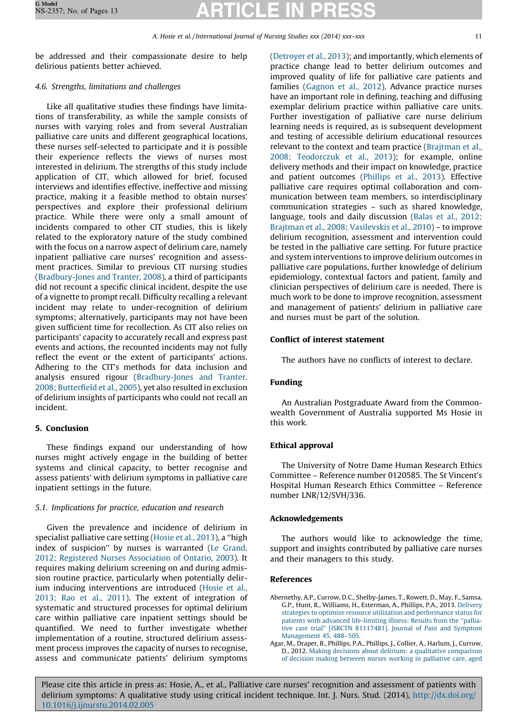<span id="page-11-0"></span>be addressed and their compassionate desire to help delirious patients better achieved.

## 4.6. Strengths, limitations and challenges

Like all qualitative studies these findings have limitations of transferability, as while the sample consists of nurses with varying roles and from several Australian palliative care units and different geographical locations, these nurses self-selected to participate and it is possible their experience reflects the views of nurses most interested in delirium. The strengths of this study include application of CIT, which allowed for brief, focused interviews and identifies effective, ineffective and missing practice, making it a feasible method to obtain nurses' perspectives and explore their professional delirium practice. While there were only a small amount of incidents compared to other CIT studies, this is likely related to the exploratory nature of the study combined with the focus on a narrow aspect of delirium care, namely inpatient palliative care nurses' recognition and assessment practices. Similar to previous CIT nursing studies ([Bradbury-Jones](#page-12-0) and Tranter, 2008), a third of participants did not recount a specific clinical incident, despite the use of a vignette to prompt recall. Difficulty recalling a relevant incident may relate to under-recognition of delirium symptoms; alternatively, participants may not have been given sufficient time for recollection. As CIT also relies on participants' capacity to accurately recall and express past events and actions, the recounted incidents may not fully reflect the event or the extent of participants' actions. Adhering to the CIT's methods for data inclusion and analysis ensured rigour ([Bradbury-Jones](#page-12-0) and Tranter, 2008; [Butterfield](#page-12-0) et al., 2005), yet also resulted in exclusion of delirium insights of participants who could not recall an incident.

# 5. Conclusion

These findings expand our understanding of how nurses might actively engage in the building of better systems and clinical capacity, to better recognise and assess patients' with delirium symptoms in palliative care inpatient settings in the future.

# 5.1. Implications for practice, education and research

Given the prevalence and incidence of delirium in specialist palliative care setting [\(Hosie](#page-12-0) et al., 2013), a ''high index of suspicion'' by nurses is warranted (Le [Grand,](#page-12-0) 2012; Registered Nurses [Association](#page-12-0) of Ontario, 2003). It requires making delirium screening on and during admission routine practice, particularly when potentially delirium inducing interventions are introduced [\(Hosie](#page-12-0) et al., [2013;](#page-12-0) Rao et al., 2011). The extent of integration of systematic and structured processes for optimal delirium care within palliative care inpatient settings should be quantified. We need to further investigate whether implementation of a routine, structured delirium assessment process improves the capacity of nurses to recognise, assess and communicate patients' delirium symptoms [\(Detroyer](#page-12-0) et al., 2013); and importantly, which elements of practice change lead to better delirium outcomes and improved quality of life for palliative care patients and families [\(Gagnon](#page-12-0) et al., 2012). Advance practice nurses have an important role in defining, teaching and diffusing exemplar delirium practice within palliative care units. Further investigation of palliative care nurse delirium learning needs is required, as is subsequent development and testing of accessible delirium educational resources relevant to the context and team practice [\(Brajtman](#page-12-0) et al., 2008; [Teodorczuk](#page-12-0) et al., 2013); for example, online delivery methods and their impact on knowledge, practice and patient outcomes [\(Phillips](#page-13-0) et al., 2013). Effective palliative care requires optimal collaboration and communication between team members, so interdisciplinary communication strategies – such as shared knowledge, language, tools and daily discussion (Balas et al., [2012;](#page-12-0) Brajtman et al., 2008; [Vasilevskis](#page-12-0) et al., 2010) – to improve delirium recognition, assessment and intervention could be tested in the palliative care setting. For future practice and system interventions to improve delirium outcomes in palliative care populations, further knowledge of delirium epidemiology, contextual factors and patient, family and clinician perspectives of delirium care is needed. There is much work to be done to improve recognition, assessment and management of patients' delirium in palliative care and nurses must be part of the solution.

# Conflict of interest statement

The authors have no conflicts of interest to declare.

### Funding

An Australian Postgraduate Award from the Commonwealth Government of Australia supported Ms Hosie in this work.

### Ethical approval

The University of Notre Dame Human Research Ethics Committee – Reference number 0120585. The St Vincent's Hospital Human Research Ethics Committee – Reference number LNR/12/SVH/336.

### Acknowledgements

The authors would like to acknowledge the time, support and insights contributed by palliative care nurses and their managers to this study.

### References

Abernethy, A.P., Currow, D.C., Shelby-James, T., Rowett, D., May, F., Samsa, G.P., Hunt, R., Williams, H., Esterman, A., Phillips, P.A., 2013. [Delivery](http://refhub.elsevier.com/S0020-7489(14)00032-7/sbref0005) strategies to optimize resource utilization and [performance](http://refhub.elsevier.com/S0020-7489(14)00032-7/sbref0005) status for patients with advanced [life-limiting](http://refhub.elsevier.com/S0020-7489(14)00032-7/sbref0005) illness: Results from the ''palliative care trial'' [ISRCTN [81117481\].](http://refhub.elsevier.com/S0020-7489(14)00032-7/sbref0005) Journal of Pain and Symptom [Management](http://refhub.elsevier.com/S0020-7489(14)00032-7/sbref0005) 45, 488–505.

Agar, M., Draper, B., Phillips, P.A., Phillips, J., Collier, A., Harlum, J., Currow, D., 2012. Making decisions about delirium: a qualitative [comparison](http://refhub.elsevier.com/S0020-7489(14)00032-7/sbref0010) of decision making between nurses working in [palliative](http://refhub.elsevier.com/S0020-7489(14)00032-7/sbref0010) care, aged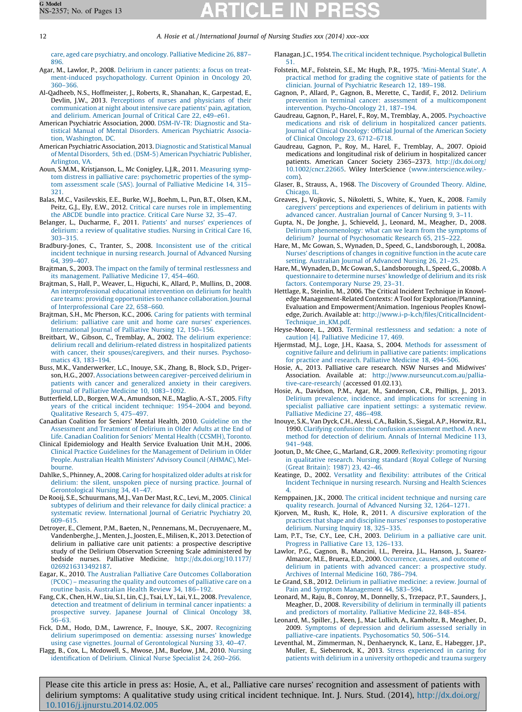<span id="page-12-0"></span>care, aged care [psychiatry,](http://refhub.elsevier.com/S0020-7489(14)00032-7/sbref0010) and oncology. Palliative Medicine 26, 887– [896.](http://refhub.elsevier.com/S0020-7489(14)00032-7/sbref0010)

- Agar, M., Lawlor, P., 2008. Delirium in cancer [patients:](http://refhub.elsevier.com/S0020-7489(14)00032-7/sbref0015) a focus on treatment-induced [psychopathology.](http://refhub.elsevier.com/S0020-7489(14)00032-7/sbref0015) Current Opinion in Oncology 20, [360–366](http://refhub.elsevier.com/S0020-7489(14)00032-7/sbref0015).
- Al-Qadheeb, N.S., Hoffmeister, J., Roberts, R., Shanahan, K., Garpestad, E., Devlin, J.W., 2013. [Perceptions](http://refhub.elsevier.com/S0020-7489(14)00032-7/sbref0020) of nurses and physicians of their [communication](http://refhub.elsevier.com/S0020-7489(14)00032-7/sbref0020) at night about intensive care patients' pain, agitation, and delirium. [American](http://refhub.elsevier.com/S0020-7489(14)00032-7/sbref0020) Journal of Critical Care 22, e49–e61.
- American Psychiatric Association, 2000. [DSM-IV-TR:](http://refhub.elsevier.com/S0020-7489(14)00032-7/sbref0025) Diagnostic and Statistical Manual of Mental Disorders. American [Psychiatric](http://refhub.elsevier.com/S0020-7489(14)00032-7/sbref0025) Association, [Washington,](http://refhub.elsevier.com/S0020-7489(14)00032-7/sbref0025) DC.
- American Psychiatric Association, 2013. [Diagnostic](http://refhub.elsevier.com/S0020-7489(14)00032-7/sbref0030) and Statistical Manual of Mental Disorders, 5th ed. (DSM-5) American [Psychiatric](http://refhub.elsevier.com/S0020-7489(14)00032-7/sbref0030) Publisher, [Arlington,](http://refhub.elsevier.com/S0020-7489(14)00032-7/sbref0030) VA.
- Aoun, S.M.M., Kristjanson, L., Mc Conigley, L.J.R., 2011. [Measuring](http://refhub.elsevier.com/S0020-7489(14)00032-7/sbref0035) symptom distress in palliative care: [psychometric](http://refhub.elsevier.com/S0020-7489(14)00032-7/sbref0035) properties of the symptom [assessment](http://refhub.elsevier.com/S0020-7489(14)00032-7/sbref0035) scale (SAS). Journal of Palliative Medicine 14, 315– [321.](http://refhub.elsevier.com/S0020-7489(14)00032-7/sbref0035)
- Balas, M.C., Vasilevskis, E.E., Burke, W.J., Boehm, L., Pun, B.T., Olsen, K.M., Peitz, G.J., Ely, E.W., 2012. Critical care nurses role in [implementing](http://refhub.elsevier.com/S0020-7489(14)00032-7/sbref0040) the ABCDE bundle into [practice.](http://refhub.elsevier.com/S0020-7489(14)00032-7/sbref0040) Critical Care Nurse 32, 35–47.
- Belanger, L., Ducharme, F., 2011. Patients' and nurses' [experiences](http://refhub.elsevier.com/S0020-7489(14)00032-7/sbref0045) of delirium: a review of [qualitative](http://refhub.elsevier.com/S0020-7489(14)00032-7/sbref0045) studies. Nursing in Critical Care 16, [303–315](http://refhub.elsevier.com/S0020-7489(14)00032-7/sbref0045).
- Bradbury-Jones, C., Tranter, S., 2008. [Inconsistent](http://refhub.elsevier.com/S0020-7489(14)00032-7/sbref0050) use of the critical incident [technique](http://refhub.elsevier.com/S0020-7489(14)00032-7/sbref0050) in nursing research. Journal of Advanced Nursing 64, [399–407.](http://refhub.elsevier.com/S0020-7489(14)00032-7/sbref0050)
- Brajtman, S., 2003. The impact on the family of terminal [restlessness](http://refhub.elsevier.com/S0020-7489(14)00032-7/sbref0055) and its [management.](http://refhub.elsevier.com/S0020-7489(14)00032-7/sbref0055) Palliative Medicine 17, 454–460.
- Brajtman, S., Hall, P., Weaver, L., Higuchi, K., Allard, P., Mullins, D., 2008. An [interprofessional](http://refhub.elsevier.com/S0020-7489(14)00032-7/sbref0060) educational intervention on delirium for health care teams: providing opportunities to enhance [collaboration.](http://refhub.elsevier.com/S0020-7489(14)00032-7/sbref0060) Journal of [Interprofessional](http://refhub.elsevier.com/S0020-7489(14)00032-7/sbref0060) Care 22, 658–660.
- Brajtman, S.H., Mc Pherson, K.C., 2006. Caring for patients with [terminal](http://refhub.elsevier.com/S0020-7489(14)00032-7/sbref0065) delirium: palliative care unit and home care nurses' [experiences.](http://refhub.elsevier.com/S0020-7489(14)00032-7/sbref0065) [International](http://refhub.elsevier.com/S0020-7489(14)00032-7/sbref0065) Journal of Palliative Nursing 12, 150–156.
- Breitbart, W., Gibson, C., Tremblay, A., 2002. The delirium [experience:](http://refhub.elsevier.com/S0020-7489(14)00032-7/sbref0070) delirium recall and [delirium-related](http://refhub.elsevier.com/S0020-7489(14)00032-7/sbref0070) distress in hospitalized patients with cancer, their [spouses/caregivers,](http://refhub.elsevier.com/S0020-7489(14)00032-7/sbref0070) and their nurses. Psychosomatics 43, [183–194](http://refhub.elsevier.com/S0020-7489(14)00032-7/sbref0070).
- Buss, M.K., Vanderwerker, L.C., Inouye, S.K., Zhang, B., Block, S.D., Prigerson, H.G., 2007. Associations between [caregiver-perceived](http://refhub.elsevier.com/S0020-7489(14)00032-7/sbref0075) delirium in patients with cancer and [generalized](http://refhub.elsevier.com/S0020-7489(14)00032-7/sbref0075) anxiety in their caregivers. Journal of Palliative Medicine 10, [1083–1092](http://refhub.elsevier.com/S0020-7489(14)00032-7/sbref0075).
- Butterfield, L.D., Borgen, W.A., Amundson, N.E., Maglio, A.-S.T., 2005. [Fifty](http://refhub.elsevier.com/S0020-7489(14)00032-7/sbref0080) years of the critical incident technique: [1954–2004](http://refhub.elsevier.com/S0020-7489(14)00032-7/sbref0080) and beyond. [Qualitative](http://refhub.elsevier.com/S0020-7489(14)00032-7/sbref0080) Research 5, 475–497.
- Canadian Coalition for Seniors' Mental Health, 2010. [Guideline](http://refhub.elsevier.com/S0020-7489(14)00032-7/sbref0085) on the [Assessment](http://refhub.elsevier.com/S0020-7489(14)00032-7/sbref0085) and Treatment of Delirium in Older Adults at the End of Life. Canadian Coalition for Seniors' Mental Health [\(CCSMH\),](http://refhub.elsevier.com/S0020-7489(14)00032-7/sbref0085) Toronto.
- Clinical Epidemiology and Health Service Evaluation Unit M.H., 2006. Clinical Practice Guidelines for the [Management](http://refhub.elsevier.com/S0020-7489(14)00032-7/sbref0090) of Delirium in Older People. [Australian](http://refhub.elsevier.com/S0020-7489(14)00032-7/sbref0090) Health Ministers' Advisory Council (AHMAC), Mel[bourne.](http://refhub.elsevier.com/S0020-7489(14)00032-7/sbref0090)
- Dahlke, S., Phinney, A., 2008. Caring for [hospitalized](http://refhub.elsevier.com/S0020-7489(14)00032-7/sbref0095) older adults at risk for delirium: the silent, [unspoken](http://refhub.elsevier.com/S0020-7489(14)00032-7/sbref0095) piece of nursing practice. Journal of [Gerontological](http://refhub.elsevier.com/S0020-7489(14)00032-7/sbref0095) Nursing 34, 41–47.
- De Rooij, S.E., Schuurmans, M.J., Van Der Mast, R.C., Levi, M., 2005. [Clinical](http://refhub.elsevier.com/S0020-7489(14)00032-7/sbref0100) subtypes of delirium and their [relevance](http://refhub.elsevier.com/S0020-7489(14)00032-7/sbref0100) for daily clinical practice: a systematic review. [International](http://refhub.elsevier.com/S0020-7489(14)00032-7/sbref0100) Journal of Geriatric Psychiatry 20, [609–615](http://refhub.elsevier.com/S0020-7489(14)00032-7/sbref0100).
- Detroyer, E., Clement, P.M., Baeten, N., Pennemans, M., Decruyenaere, M., Vandenberghe, J., Menten, J., Joosten, E., Milisen, K., 2013. Detection of delirium in palliative care unit patients: a prospective descriptive study of the Delirium Observation Screening Scale administered by bedside nurses. Palliative Medicine, [http://dx.doi.org/10.1177/](http://dx.doi.org/10.1177/0269216313492187) [0269216313492187.](http://dx.doi.org/10.1177/0269216313492187)
- Eagar, K., 2010. The Australian Palliative Care Outcomes [Collaboration](http://refhub.elsevier.com/S0020-7489(14)00032-7/sbref0110) (PCOC) – [measuring](http://refhub.elsevier.com/S0020-7489(14)00032-7/sbref0110) the quality and outcomes of palliative care on a routine basis. [Australian](http://refhub.elsevier.com/S0020-7489(14)00032-7/sbref0110) Health Review 34, 186–192.
- Fang, C.K., Chen, H.W., Liu, S.I., Lin, C.J., Tsai, L.Y., Lai, Y.L., 2008. [Prevalence,](http://refhub.elsevier.com/S0020-7489(14)00032-7/sbref0115) detection and treatment of delirium in terminal cancer [inpatients:](http://refhub.elsevier.com/S0020-7489(14)00032-7/sbref0115) a [prospective](http://refhub.elsevier.com/S0020-7489(14)00032-7/sbref0115) survey. Japanese Journal of Clinical Oncology 38, [56–63](http://refhub.elsevier.com/S0020-7489(14)00032-7/sbref0115).
- Fick, D.M., Hodo, D.M., Lawrence, F., Inouye, S.K., 2007. [Recognizing](http://refhub.elsevier.com/S0020-7489(14)00032-7/sbref0120) delirium [superimposed](http://refhub.elsevier.com/S0020-7489(14)00032-7/sbref0120) on dementia: assessing nurses' knowledge using case vignettes. Journal of [Gerontological](http://refhub.elsevier.com/S0020-7489(14)00032-7/sbref0120) Nursing 33, 40–47.
- Flagg, B., Cox, L., Mcdowell, S., Mwose, J.M., Buelow, J.M., 2010. [Nursing](http://refhub.elsevier.com/S0020-7489(14)00032-7/sbref0125) [identification](http://refhub.elsevier.com/S0020-7489(14)00032-7/sbref0125) of Delirium. Clinical Nurse Specialist 24, 260–266.

Flanagan, J.C., 1954. The critical incident technique. [Psychological](http://refhub.elsevier.com/S0020-7489(14)00032-7/sbref0130) Bulletin [51.](http://refhub.elsevier.com/S0020-7489(14)00032-7/sbref0130)

- Folstein, M.F., Folstein, S.E., Mc Hugh, P.R., 1975. ['Mini-Mental](http://refhub.elsevier.com/S0020-7489(14)00032-7/sbref0135) State'. A practical method for grading the [cognitive](http://refhub.elsevier.com/S0020-7489(14)00032-7/sbref0135) state of patients for the clinician. Journal of [Psychiatric](http://refhub.elsevier.com/S0020-7489(14)00032-7/sbref0135) Research 12, 189–198.
- Gagnon, P., Allard, P., Gagnon, B., Merette, C., Tardif, F., 2012. [Delirium](http://refhub.elsevier.com/S0020-7489(14)00032-7/sbref0140) prevention in terminal cancer: assessment of a [multicomponent](http://refhub.elsevier.com/S0020-7489(14)00032-7/sbref0140) intervention. [Psycho-Oncology](http://refhub.elsevier.com/S0020-7489(14)00032-7/sbref0140) 21, 187–194.
- Gaudreau, Gagnon, P., Harel, F., Roy, M., Tremblay, A., 2005. [Psychoactive](http://refhub.elsevier.com/S0020-7489(14)00032-7/sbref0145) [medications](http://refhub.elsevier.com/S0020-7489(14)00032-7/sbref0145) and risk of delirium in hospitalized cancer patients. Journal of Clinical [Oncology:](http://refhub.elsevier.com/S0020-7489(14)00032-7/sbref0145) Official Journal of the American Society of Clinical Oncology 23, [6712–6718](http://refhub.elsevier.com/S0020-7489(14)00032-7/sbref0145).
- Gaudreau, Gagnon, P., Roy, M., Harel, F., Tremblay, A., 2007. Opioid medications and longitudinal risk of delirium in hospitalized cancer patients. American Cancer Society 2365–2373, [http://dx.doi.org/](http://dx.doi.org/10.1002/cncr.22665) [10.1002/cncr.22665](http://dx.doi.org/10.1002/cncr.22665). Wiley InterScience [\(www.interscience.wiley.](http://www.interscience.wiley.com/) [com](http://www.interscience.wiley.com/)).
- Glaser, B., Strauss, A., 1968. The Discovery of [Grounded](http://refhub.elsevier.com/S0020-7489(14)00032-7/sbref0155) Theory. Aldine, [Chicago,](http://refhub.elsevier.com/S0020-7489(14)00032-7/sbref0155) IL.
- Greaves, J., Vojkovic, S., Nikoletti, S., White, K., Yuen, K., 2008. [Family](http://refhub.elsevier.com/S0020-7489(14)00032-7/sbref0160) caregivers' perceptions and [experiences](http://refhub.elsevier.com/S0020-7489(14)00032-7/sbref0160) of delirium in patients with advanced cancer. [Australian](http://refhub.elsevier.com/S0020-7489(14)00032-7/sbref0160) Journal of Cancer Nursing 9, 3–11.
- Gupta, N., De Jonghe, J., Schieveld, J., Leonard, M., Meagher, D., 2008. Delirium [phenomenology:](http://refhub.elsevier.com/S0020-7489(14)00032-7/sbref0165) what can we learn from the symptoms of delirium? Journal of [Psychosomatic](http://refhub.elsevier.com/S0020-7489(14)00032-7/sbref0165) Research 65, 215–222.
- Hare, M., Mc Gowan, S., Wynaden, D., Speed, G., Landsborough, I., 2008a. Nurses' [descriptions](http://refhub.elsevier.com/S0020-7489(14)00032-7/sbref0170) of changes in cognitive function in the acute care setting. [Australian](http://refhub.elsevier.com/S0020-7489(14)00032-7/sbref0170) Journal of Advanced Nursing 26, 21–25.
- Hare, M., Wynaden, D., Mc Gowan, S., Landsborough, I., Speed, G., 2008b. [A](http://refhub.elsevier.com/S0020-7489(14)00032-7/sbref0175) [questionnaire](http://refhub.elsevier.com/S0020-7489(14)00032-7/sbref0175) to determine nurses' knowledge of delirium and its risk factors. [Contemporary](http://refhub.elsevier.com/S0020-7489(14)00032-7/sbref0175) Nurse 29, 23–31.
- Hettlage, R., Steinlin, M., 2006. The Critical Incident Technique in Knowledge Management-Related Contexts: A Tool for Exploration/Planning, Evaluation and Empowerment/Animation. Ingenious Peoples Knowledge, Zurich. Available at: [http://www.i-p-k.ch/files/CriticalIncident-](http://www.i-p-k.ch/files/CriticalIncidentTechnique_in_KM.pdf)[Technique\\_in\\_KM.pdf.](http://www.i-p-k.ch/files/CriticalIncidentTechnique_in_KM.pdf)
- Heyse-Moore, L., 2003. Terminal [restlessness](http://refhub.elsevier.com/S0020-7489(14)00032-7/sbref0185) and sedation: a note of caution [4]. Palliative [Medicine](http://refhub.elsevier.com/S0020-7489(14)00032-7/sbref0185) 17, 469.
- Hjermstad, M.J., Loge, J.H., Kaasa, S., 2004. Methods for [assessment](http://refhub.elsevier.com/S0020-7489(14)00032-7/sbref0190) of cognitive failure and delirium in palliative care patients: [implications](http://refhub.elsevier.com/S0020-7489(14)00032-7/sbref0190) for practice and research. Palliative [Medicine](http://refhub.elsevier.com/S0020-7489(14)00032-7/sbref0190) 18, 494–506.
- Hosie, A., 2013. Palliative care research. NSW Nurses and Midwives' Association. Available at: [http://www.nurseuncut.com.au/pallia](http://www.nurseuncut.com.au/palliative-care-research/)[tive-care-research/](http://www.nurseuncut.com.au/palliative-care-research/) (accessed 01.02.13).
- Hosie, A., Davidson, P.M., Agar, M., Sanderson, C.R., Phillips, J., 2013. Delirium prevalence, incidence, and [implications](http://refhub.elsevier.com/S0020-7489(14)00032-7/sbref0200) for screening in specialist palliative care inpatient settings: a [systematic](http://refhub.elsevier.com/S0020-7489(14)00032-7/sbref0200) review. Palliative [Medicine](http://refhub.elsevier.com/S0020-7489(14)00032-7/sbref0200) 27, 486–498.
- Inouye, S.K., Van Dyck, C.H., Alessi, C.A., Balkin, S., Siegal, A.P., Horwitz, R.I., 1990. Clarifying confusion: the confusion [assessment](http://refhub.elsevier.com/S0020-7489(14)00032-7/sbref0205) method. A new method for [detection](http://refhub.elsevier.com/S0020-7489(14)00032-7/sbref0205) of delirium. Annals of Internal Medicine 113, [941–948](http://refhub.elsevier.com/S0020-7489(14)00032-7/sbref0205).
- Jootun, D., Mc Ghee, G., Marland, G.R., 2009. [Reflexivity:](http://refhub.elsevier.com/S0020-7489(14)00032-7/sbref0210) promoting rigour in [qualitative](http://refhub.elsevier.com/S0020-7489(14)00032-7/sbref0210) research. Nursing standard (Royal College of Nursing (Great [Britain\):](http://refhub.elsevier.com/S0020-7489(14)00032-7/sbref0210) 1987) 23, 42–46.
- Keatinge, D., 2002. Versatlity and [flexibility:](http://refhub.elsevier.com/S0020-7489(14)00032-7/sbref0215) attributes of the Critical Incident [Technique](http://refhub.elsevier.com/S0020-7489(14)00032-7/sbref0215) in nursing research. Nursing and Health Sciences [4](http://refhub.elsevier.com/S0020-7489(14)00032-7/sbref0215).
- Kemppainen, J.K., 2000. The critical incident [technique](http://refhub.elsevier.com/S0020-7489(14)00032-7/sbref0220) and nursing care quality research. Journal of Advanced Nursing 32, [1264–1271.](http://refhub.elsevier.com/S0020-7489(14)00032-7/sbref0220)
- Kjorven, M., Rush, K., Hole, R., 2011. A discursive [exploration](http://refhub.elsevier.com/S0020-7489(14)00032-7/sbref0225) of the practices that shape and discipline nurses' responses to [postoperative](http://refhub.elsevier.com/S0020-7489(14)00032-7/sbref0225) [delirium.](http://refhub.elsevier.com/S0020-7489(14)00032-7/sbref0225) Nursing Inquiry 18, 325–335.
- Lam, P.T., Tse, C.Y., Lee, C.H., 2003. Delirium in a [palliative](http://refhub.elsevier.com/S0020-7489(14)00032-7/sbref0230) care unit. Progress in [Palliative](http://refhub.elsevier.com/S0020-7489(14)00032-7/sbref0230) Care 13, 126–133.
- Lawlor, P.G., Gagnon, B., Mancini, I.L., Pereira, J.L., Hanson, J., Suarez-Almazor, M.E., Bruera, E.D., 2000. [Occurrence,](http://refhub.elsevier.com/S0020-7489(14)00032-7/sbref0235) causes, and outcome of delirium in patients with advanced cancer: a [prospective](http://refhub.elsevier.com/S0020-7489(14)00032-7/sbref0235) study. Archives of Internal [Medicine](http://refhub.elsevier.com/S0020-7489(14)00032-7/sbref0235) 160, 786–794.
- Le Grand, S.B., 2012. Delirium in palliative [medicine:](http://refhub.elsevier.com/S0020-7489(14)00032-7/sbref0240) a review. Journal of Pain and Symptom [Management](http://refhub.elsevier.com/S0020-7489(14)00032-7/sbref0240) 44, 583–594.
- Leonard, M., Raju, B., Conroy, M., Donnelly, S., Trzepacz, P.T., Saunders, J., Meagher, D., 2008. [Reversibility](http://refhub.elsevier.com/S0020-7489(14)00032-7/sbref0245) of delirium in terminally ill patients and [predictors](http://refhub.elsevier.com/S0020-7489(14)00032-7/sbref0245) of mortality. Palliative Medicine 22, 848–854.
- Leonard, M., Spiller, J., Keen, J., Mac Lullich, A., Kamholtz, B., Meagher, D., 2009. Symptoms of [depression](http://refhub.elsevier.com/S0020-7489(14)00032-7/sbref0250) and delirium assessed serially in palliative-care inpatients. [Psychosomatics](http://refhub.elsevier.com/S0020-7489(14)00032-7/sbref0250) 50, 506–514.
- Leventhal, M., Zimmerman, N., Denhaerynck, K., Lanz, E., Habegger, J.P., Muller, E., Siebenrock, K., 2013. Stress [experienced](http://refhub.elsevier.com/S0020-7489(14)00032-7/sbref0255) in caring for patients with delirium in a university [orthopedic](http://refhub.elsevier.com/S0020-7489(14)00032-7/sbref0255) and trauma surgery